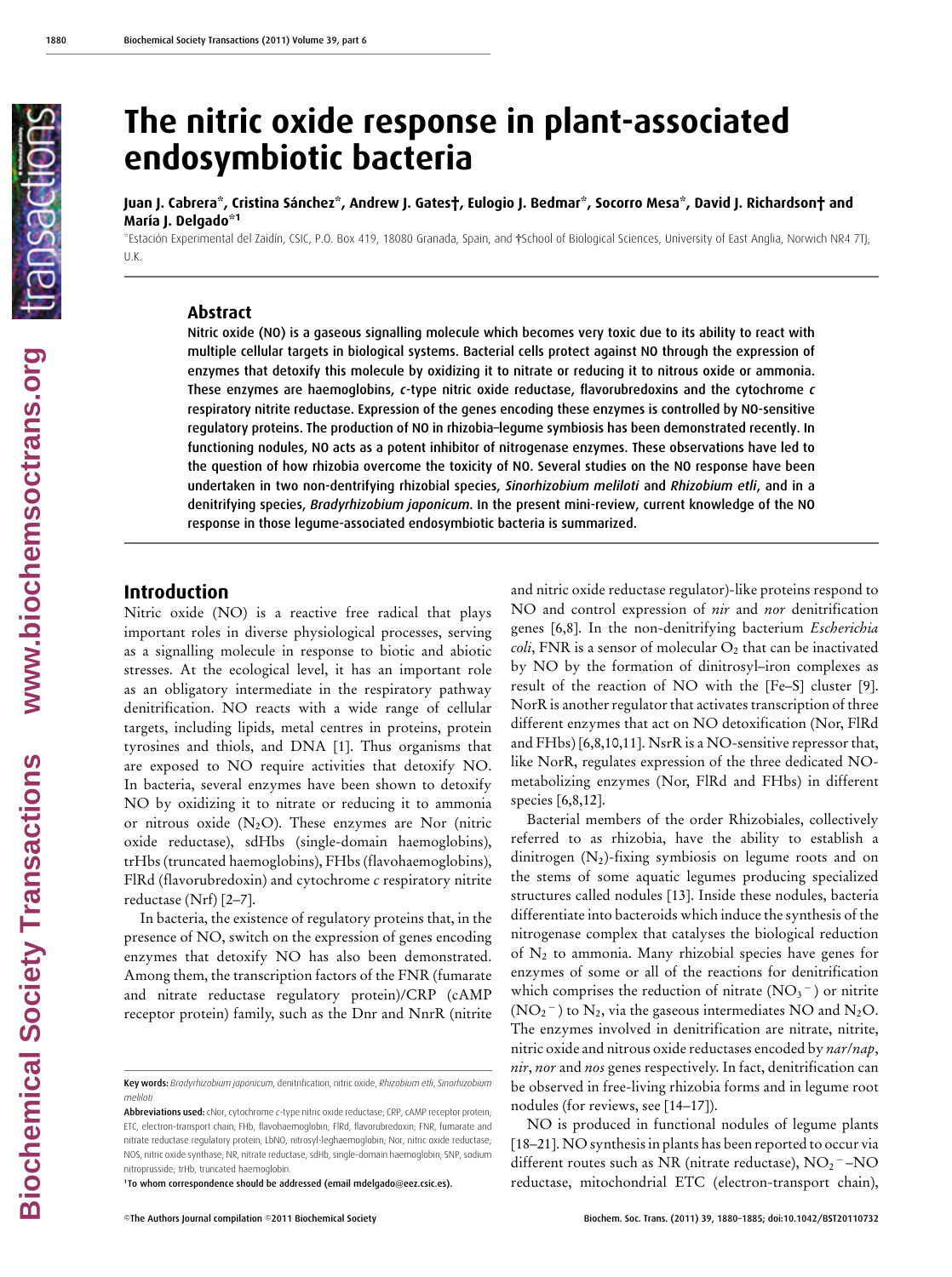# **The nitric oxide response in plant-associated endosymbiotic bacteria**

**Juan J. Cabrera\*, Cristina Sanchez\*, Andrew J. Gates†, Eulogio J. Bedmar\*, Socorro Mesa\*, David J. Richardson† and ´ Marıa J. Delgado\* ´ [1](#page-0-0)**

\*Estaci ´on Experimental del Zaid´ın, CSIC, P.O. Box 419, 18080 Granada, Spain, and †School of Biological Sciences, University of East Anglia, Norwich NR4 7TJ, U.K.

#### **Abstract**

Nitric oxide (NO) is a gaseous signalling molecule which becomes very toxic due to its ability to react with multiple cellular targets in biological systems. Bacterial cells protect against NO through the expression of enzymes that detoxify this molecule by oxidizing it to nitrate or reducing it to nitrous oxide or ammonia. These enzymes are haemoglobins, *c*-type nitric oxide reductase, flavorubredoxins and the cytochrome *c* respiratory nitrite reductase. Expression of the genes encoding these enzymes is controlled by NO-sensitive regulatory proteins. The production of NO in rhizobia–legume symbiosis has been demonstrated recently. In functioning nodules, NO acts as a potent inhibitor of nitrogenase enzymes. These observations have led to the question of how rhizobia overcome the toxicity of NO. Several studies on the NO response have been undertaken in two non-dentrifying rhizobial species, *Sinorhizobium meliloti* and *Rhizobium etli*, and in a denitrifying species, *Bradyrhizobium japonicum*. In the present mini-review, current knowledge of the NO response in those legume-associated endosymbiotic bacteria is summarized.

# **Introduction**

Nitric oxide (NO) is a reactive free radical that plays important roles in diverse physiological processes, serving as a signalling molecule in response to biotic and abiotic stresses. At the ecological level, it has an important role as an obligatory intermediate in the respiratory pathway denitrification. NO reacts with a wide range of cellular targets, including lipids, metal centres in proteins, protein tyrosines and thiols, and DNA [\[1\]](#page-4-0). Thus organisms that are exposed to NO require activities that detoxify NO. In bacteria, several enzymes have been shown to detoxify NO by oxidizing it to nitrate or reducing it to ammonia or nitrous oxide  $(N_2O)$ . These enzymes are Nor (nitric oxide reductase), sdHbs (single-domain haemoglobins), trHbs (truncated haemoglobins), FHbs (flavohaemoglobins), FlRd (flavorubredoxin) and cytochrome *c* respiratory nitrite reductase (Nrf) [\[2](#page-4-1)[–7\]](#page-4-2).

In bacteria, the existence of regulatory proteins that, in the presence of NO, switch on the expression of genes encoding enzymes that detoxify NO has also been demonstrated. Among them, the transcription factors of the FNR (fumarate and nitrate reductase regulatory protein)/CRP (cAMP receptor protein) family, such as the Dnr and NnrR (nitrite

<span id="page-0-0"></span><sup>1</sup> To whom correspondence should be addressed (email mdelgado@eez.csic.es).

and nitric oxide reductase regulator)-like proteins respond to NO and control expression of *nir* and *nor* denitrification genes [\[6](#page-4-3)[,8\]](#page-4-4). In the non-denitrifying bacterium *Escherichia*  $\text{coli}$ , FNR is a sensor of molecular  $O_2$  that can be inactivated by NO by the formation of dinitrosyl–iron complexes as result of the reaction of NO with the [Fe–S] cluster [\[9\]](#page-4-5). NorR is another regulator that activates transcription of three different enzymes that act on NO detoxification (Nor, FlRd and FHbs) [\[6](#page-4-3)[,8](#page-4-4)[,10](#page-4-6)[,11\]](#page-4-7). NsrR is a NO-sensitive repressor that, like NorR, regulates expression of the three dedicated NOmetabolizing enzymes (Nor, FlRd and FHbs) in different species [\[6,](#page-4-3)[8,](#page-4-4)[12\]](#page-4-8).

Bacterial members of the order Rhizobiales, collectively referred to as rhizobia, have the ability to establish a dinitrogen  $(N_2)$ -fixing symbiosis on legume roots and on the stems of some aquatic legumes producing specialized structures called nodules [\[13\]](#page-5-0). Inside these nodules, bacteria differentiate into bacteroids which induce the synthesis of the nitrogenase complex that catalyses the biological reduction of  $N_2$  to ammonia. Many rhizobial species have genes for enzymes of some or all of the reactions for denitrification which comprises the reduction of nitrate  $(NO<sub>3</sub><sup>-</sup>)$  or nitrite  $(NO<sub>2</sub><sup>-</sup>)$  to  $N<sub>2</sub>$ , via the gaseous intermediates NO and N<sub>2</sub>O. The enzymes involved in denitrification are nitrate, nitrite, nitric oxide and nitrous oxide reductases encoded by *nar*/*nap*, *nir*, *nor* and *nos* genes respectively. In fact, denitrification can be observed in free-living rhizobia forms and in legume root nodules (for reviews, see [\[14–](#page-5-1)[17\]](#page-5-2)).

NO is produced in functional nodules of legume plants [\[18–](#page-5-3)[21\]](#page-5-4). NO synthesis in plants has been reported to occur via different routes such as NR (nitrate reductase),  $NO_2$ <sup>-</sup> $-NO$ reductase, mitochondrial ETC (electron-transport chain),

Key words: *Bradyrhizobium japonicum*, denitrification, nitric oxide, *Rhizobium etli*, *Sinorhizobium meliloti*.

Abbreviations used: cNor, cytochrome *c*-type nitric oxide reductase; CRP, cAMP receptor protein; ETC, electron-transport chain; FHb, flavohaemoglobin; FlRd, flavorubredoxin; FNR, fumarate and nitrate reductase regulatory protein; LbNO, nitrosyl-leghaemoglobin; Nor, nitric oxide reductase; NOS, nitric oxide synthase; NR, nitrate reductase; sdHb, single-domain haemoglobin; SNP, sodium nitroprusside; trHb, truncated haemoglobin.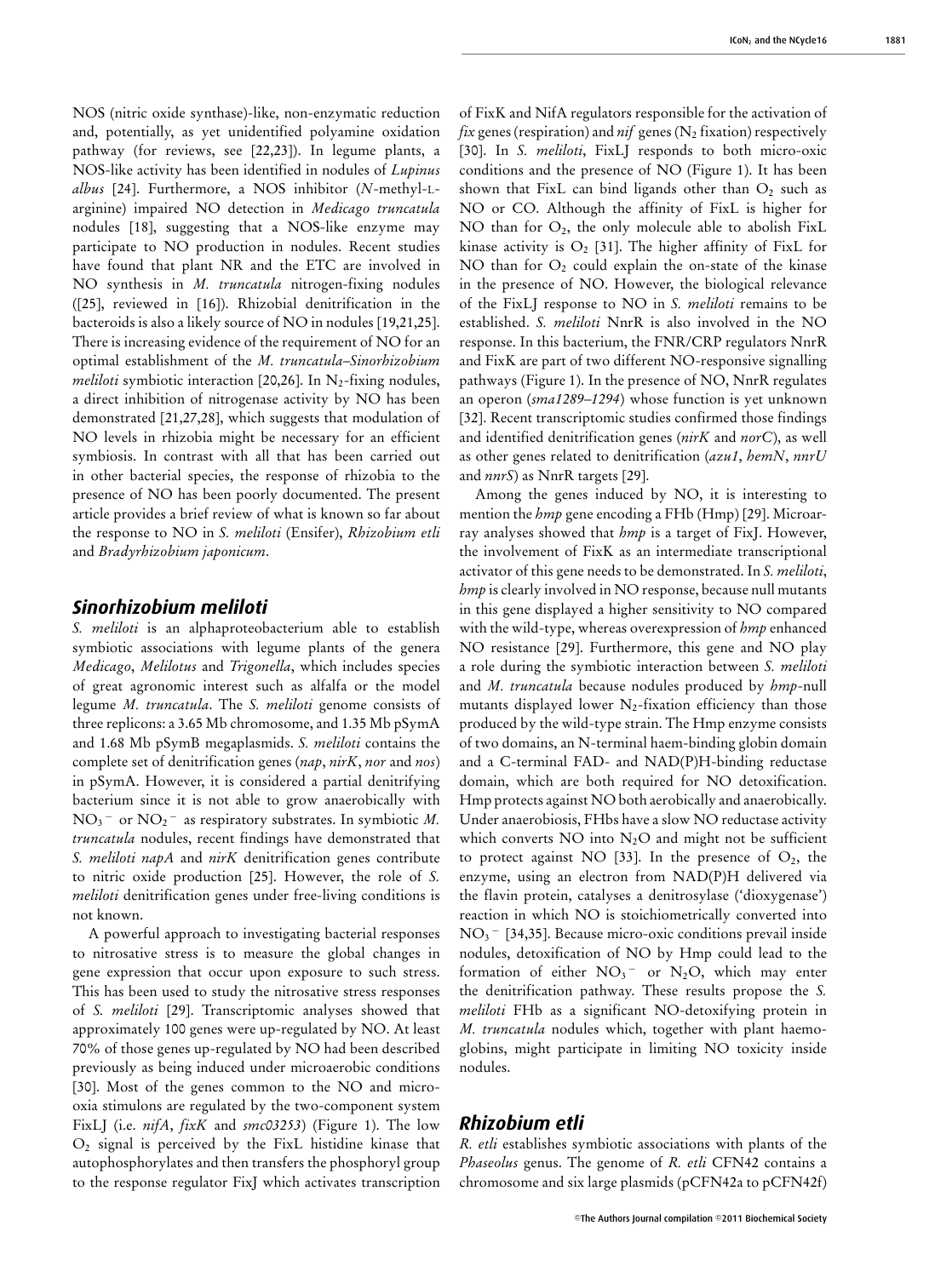NOS (nitric oxide synthase)-like, non-enzymatic reduction and, potentially, as yet unidentified polyamine oxidation pathway (for reviews, see [\[22](#page-5-5)[,23\]](#page-5-6)). In legume plants, a NOS-like activity has been identified in nodules of *Lupinus albus* [\[24\]](#page-5-7). Furthermore, a NOS inhibitor (*N*-methyl-Larginine) impaired NO detection in *Medicago truncatula* nodules [\[18\]](#page-5-3), suggesting that a NOS-like enzyme may participate to NO production in nodules. Recent studies have found that plant NR and the ETC are involved in NO synthesis in *M. truncatula* nitrogen-fixing nodules ([\[25\]](#page-5-8), reviewed in [\[16\]](#page-5-9)). Rhizobial denitrification in the bacteroids is also a likely source of NO in nodules [\[19,](#page-5-10)[21](#page-5-4)[,25\]](#page-5-8). There is increasing evidence of the requirement of NO for an optimal establishment of the *M. truncatula*–*Sinorhizobium meliloti* symbiotic interaction [\[20](#page-5-11)[,26\]](#page-5-12). In N<sub>2</sub>-fixing nodules, a direct inhibition of nitrogenase activity by NO has been demonstrated [\[21](#page-5-4)[,27](#page-5-13)[,28\]](#page-5-14), which suggests that modulation of NO levels in rhizobia might be necessary for an efficient symbiosis. In contrast with all that has been carried out in other bacterial species, the response of rhizobia to the presence of NO has been poorly documented. The present article provides a brief review of what is known so far about the response to NO in *S. meliloti* (Ensifer), *Rhizobium etli* and *Bradyrhizobium japonicum*.

# *Sinorhizobium meliloti*

*S. meliloti* is an alphaproteobacterium able to establish symbiotic associations with legume plants of the genera *Medicago*, *Melilotus* and *Trigonella*, which includes species of great agronomic interest such as alfalfa or the model legume *M. truncatula*. The *S. meliloti* genome consists of three replicons: a 3.65 Mb chromosome, and 1.35 Mb pSymA and 1.68 Mb pSymB megaplasmids. *S. meliloti* contains the complete set of denitrification genes (*nap*, *nirK*, *nor* and *nos*) in pSymA. However, it is considered a partial denitrifying bacterium since it is not able to grow anaerobically with NO3 <sup>−</sup> or NO2 <sup>−</sup> as respiratory substrates. In symbiotic *M. truncatula* nodules, recent findings have demonstrated that *S. meliloti napA* and *nirK* denitrification genes contribute to nitric oxide production [\[25\]](#page-5-8). However, the role of *S. meliloti* denitrification genes under free-living conditions is not known.

A powerful approach to investigating bacterial responses to nitrosative stress is to measure the global changes in gene expression that occur upon exposure to such stress. This has been used to study the nitrosative stress responses of *S. meliloti* [\[29\]](#page-5-15). Transcriptomic analyses showed that approximately 100 genes were up-regulated by NO. At least 70% of those genes up-regulated by NO had been described previously as being induced under microaerobic conditions [\[30\]](#page-5-16). Most of the genes common to the NO and microoxia stimulons are regulated by the two-component system FixLJ (i.e. *nifA*, *fixK* and *smc03253*) [\(Figure 1\)](#page-2-0). The low  $O<sub>2</sub>$  signal is perceived by the FixL histidine kinase that autophosphorylates and then transfers the phosphoryl group to the response regulator FixJ which activates transcription

of FixK and NifA regulators responsible for the activation of *fix* genes (respiration) and  $nif$  genes ( $N_2$  fixation) respectively [\[30\]](#page-5-16). In *S. meliloti*, FixLJ responds to both micro-oxic conditions and the presence of NO [\(Figure 1\)](#page-2-0). It has been shown that FixL can bind ligands other than  $O_2$  such as NO or CO. Although the affinity of FixL is higher for NO than for  $O_2$ , the only molecule able to abolish FixL kinase activity is  $O_2$  [\[31\]](#page-5-17). The higher affinity of FixL for NO than for  $O_2$  could explain the on-state of the kinase in the presence of NO. However, the biological relevance of the FixLJ response to NO in *S. meliloti* remains to be established. *S. meliloti* NnrR is also involved in the NO response. In this bacterium, the FNR/CRP regulators NnrR and FixK are part of two different NO-responsive signalling pathways [\(Figure 1\)](#page-2-0). In the presence of NO, NnrR regulates an operon (*sma1289*–*1294*) whose function is yet unknown [\[32\]](#page-5-18). Recent transcriptomic studies confirmed those findings and identified denitrification genes (*nirK* and *norC*), as well as other genes related to denitrification (*azu1*, *hemN*, *nnrU* and *nnrS*) as NnrR targets [\[29\]](#page-5-15).

Among the genes induced by NO, it is interesting to mention the *hmp* gene encoding a FHb (Hmp) [\[29\]](#page-5-15). Microarray analyses showed that *hmp* is a target of FixJ. However, the involvement of FixK as an intermediate transcriptional activator of this gene needs to be demonstrated. In *S. meliloti*, *hmp* is clearly involved in NO response, because null mutants in this gene displayed a higher sensitivity to NO compared with the wild-type, whereas overexpression of *hmp* enhanced NO resistance [\[29\]](#page-5-15). Furthermore, this gene and NO play a role during the symbiotic interaction between *S. meliloti* and *M. truncatula* because nodules produced by *hmp*-null mutants displayed lower  $N_2$ -fixation efficiency than those produced by the wild-type strain. The Hmp enzyme consists of two domains, an N-terminal haem-binding globin domain and a C-terminal FAD- and NAD(P)H-binding reductase domain, which are both required for NO detoxification. Hmp protects against NO both aerobically and anaerobically. Under anaerobiosis, FHbs have a slow NO reductase activity which converts  $NO$  into  $N_2O$  and might not be sufficient to protect against NO [\[33\]](#page-5-19). In the presence of  $O<sub>2</sub>$ , the enzyme, using an electron from NAD(P)H delivered via the flavin protein, catalyses a denitrosylase ('dioxygenase') reaction in which NO is stoichiometrically converted into  $NO<sub>3</sub>$  [\[34,](#page-5-20)[35\]](#page-5-21). Because micro-oxic conditions prevail inside nodules, detoxification of NO by Hmp could lead to the formation of either  $NO<sub>3</sub>^-$  or  $N<sub>2</sub>O$ , which may enter the denitrification pathway. These results propose the *S. meliloti* FHb as a significant NO-detoxifying protein in *M. truncatula* nodules which, together with plant haemoglobins, might participate in limiting NO toxicity inside nodules.

## *Rhizobium etli*

*R. etli* establishes symbiotic associations with plants of the *Phaseolus* genus. The genome of *R. etli* CFN42 contains a chromosome and six large plasmids (pCFN42a to pCFN42f)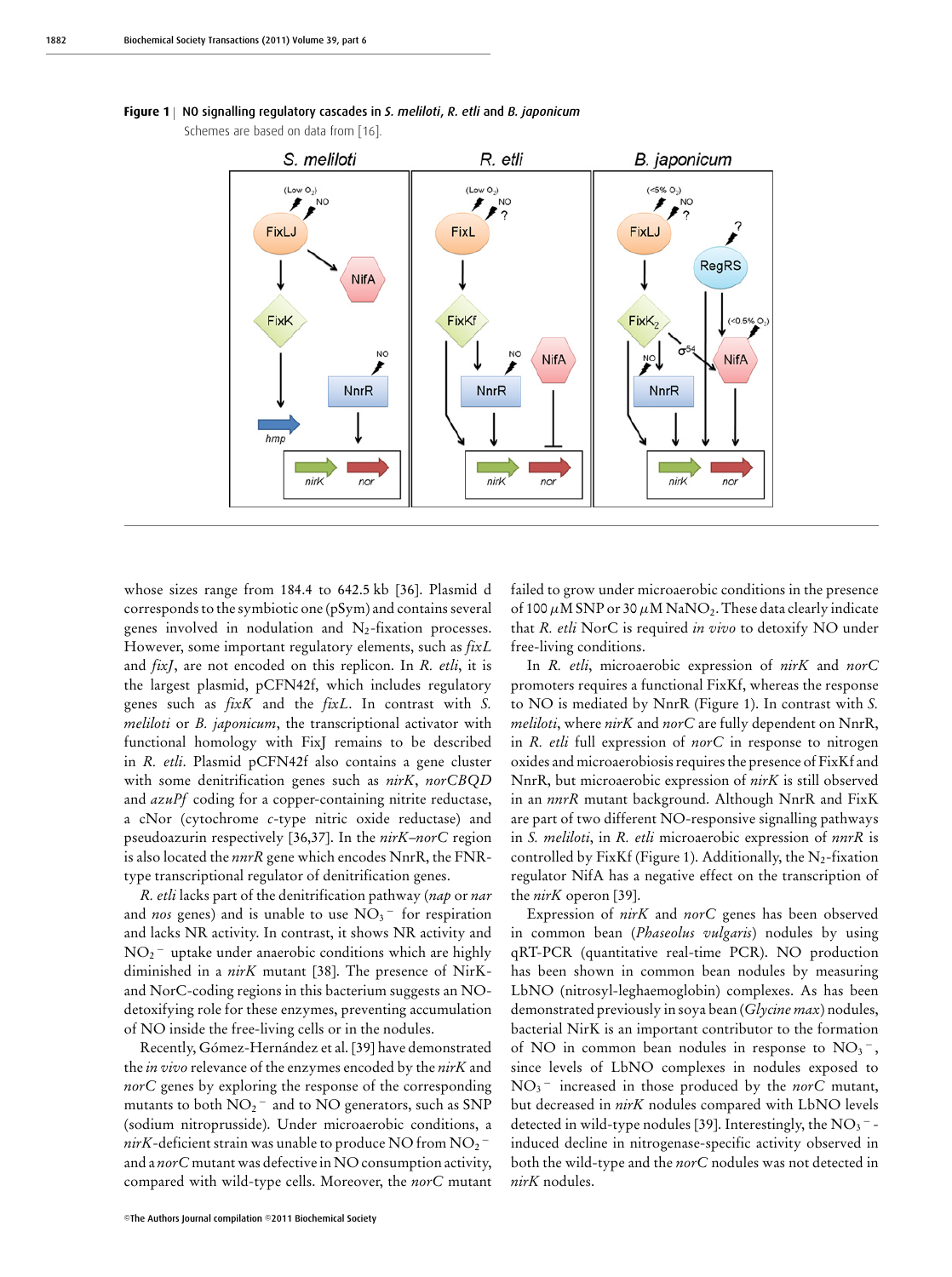

<span id="page-2-0"></span>**Figure 1** NO signalling regulatory cascades in *S. meliloti*, *R. etli* and *B. japonicum* Schemes are based on data from [\[16\]](#page-5-9).

whose sizes range from 184.4 to 642.5 kb [\[36\]](#page-5-22). Plasmid d corresponds to the symbiotic one (pSym) and contains several genes involved in nodulation and  $N_2$ -fixation processes. However, some important regulatory elements, such as *fixL* and *fixJ*, are not encoded on this replicon. In *R. etli*, it is the largest plasmid, pCFN42f, which includes regulatory genes such as *fixK* and the *fixL*. In contrast with *S. meliloti* or *B. japonicum*, the transcriptional activator with functional homology with FixJ remains to be described in *R. etli*. Plasmid pCFN42f also contains a gene cluster with some denitrification genes such as *nirK*, *norCBQD* and *azuPf* coding for a copper-containing nitrite reductase, a cNor (cytochrome *c*-type nitric oxide reductase) and pseudoazurin respectively [\[36](#page-5-22)[,37\]](#page-5-23). In the *nirK*–*norC* region is also located the *nnrR* gene which encodes NnrR, the FNRtype transcriptional regulator of denitrification genes.

*R. etli* lacks part of the denitrification pathway (*nap* or *nar* and *nos* genes) and is unable to use  $NO<sub>3</sub>$ <sup>-</sup> for respiration and lacks NR activity. In contrast, it shows NR activity and  $NO<sub>2</sub>$  = uptake under anaerobic conditions which are highly diminished in a *nirK* mutant [\[38\]](#page-5-24). The presence of NirKand NorC-coding regions in this bacterium suggests an NOdetoxifying role for these enzymes, preventing accumulation of NO inside the free-living cells or in the nodules.

Recently, Gómez-Hernández et al. [\[39\]](#page-5-25) have demonstrated the *in vivo* relevance of the enzymes encoded by the *nirK* and *norC* genes by exploring the response of the corresponding mutants to both  $NO_2^-$  and to NO generators, such as SNP (sodium nitroprusside). Under microaerobic conditions, a *nirK*-deficient strain was unable to produce NO from NO<sub>2</sub>  $^$ and a *norC* mutant was defective in NO consumption activity, compared with wild-type cells. Moreover, the *norC* mutant

©The Authors Journal compilation ©2011 Biochemical Society

failed to grow under microaerobic conditions in the presence of 100  $\mu$ M SNP or 30  $\mu$ M NaNO<sub>2</sub>. These data clearly indicate that *R. etli* NorC is required *in vivo* to detoxify NO under free-living conditions.

In *R. etli*, microaerobic expression of *nirK* and *norC* promoters requires a functional FixKf, whereas the response to NO is mediated by NnrR [\(Figure 1\)](#page-2-0). In contrast with *S. meliloti*, where *nirK* and *norC* are fully dependent on NnrR, in *R. etli* full expression of *norC* in response to nitrogen oxides and microaerobiosis requires the presence of FixKf and NnrR, but microaerobic expression of *nirK* is still observed in an *nnrR* mutant background. Although NnrR and FixK are part of two different NO-responsive signalling pathways in *S. meliloti*, in *R. etli* microaerobic expression of *nnrR* is controlled by FixKf [\(Figure 1\)](#page-2-0). Additionally, the  $N_2$ -fixation regulator NifA has a negative effect on the transcription of the *nirK* operon [\[39\]](#page-5-25).

Expression of *nirK* and *norC* genes has been observed in common bean (*Phaseolus vulgaris*) nodules by using qRT-PCR (quantitative real-time PCR). NO production has been shown in common bean nodules by measuring LbNO (nitrosyl-leghaemoglobin) complexes. As has been demonstrated previously in soya bean (*Glycine max*) nodules, bacterial NirK is an important contributor to the formation of NO in common bean nodules in response to  $NO<sub>3</sub><sup>-</sup>$ , since levels of LbNO complexes in nodules exposed to NO3 <sup>−</sup> increased in those produced by the *norC* mutant, but decreased in *nirK* nodules compared with LbNO levels detected in wild-type nodules [\[39\]](#page-5-25). Interestingly, the  $\rm NO_3$  – induced decline in nitrogenase-specific activity observed in both the wild-type and the *norC* nodules was not detected in *nirK* nodules.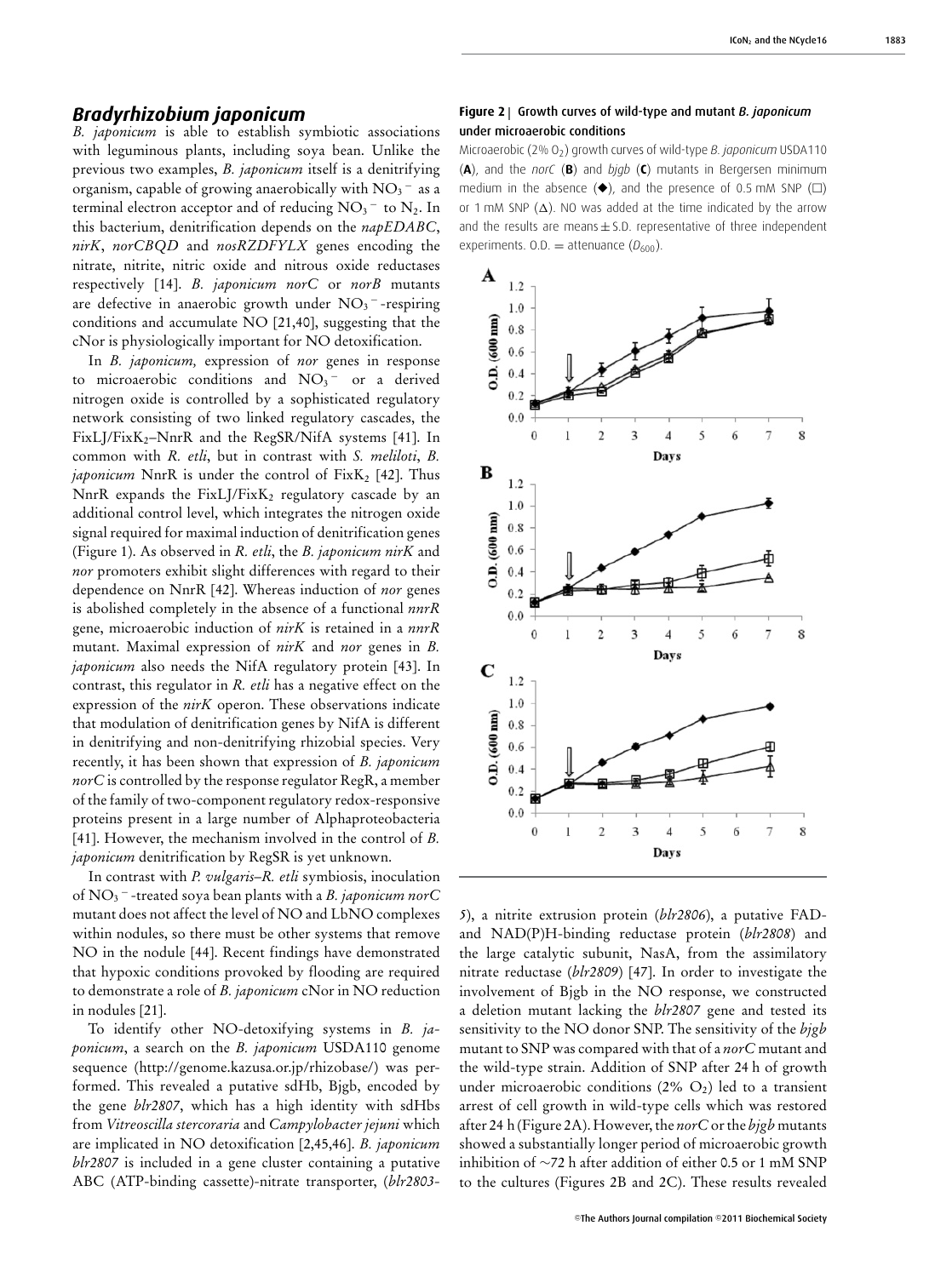## *Bradyrhizobium japonicum*

*B. japonicum* is able to establish symbiotic associations with leguminous plants, including soya bean. Unlike the previous two examples, *B. japonicum* itself is a denitrifying organism, capable of growing anaerobically with  $NO<sub>3</sub>$ <sup>-</sup> as a terminal electron acceptor and of reducing  $NO<sub>3</sub>$ <sup>-</sup> to  $N<sub>2</sub>$ . In this bacterium, denitrification depends on the *napEDABC*, *nirK*, *norCBQD* and *nosRZDFYLX* genes encoding the nitrate, nitrite, nitric oxide and nitrous oxide reductases respectively [\[14\]](#page-5-1). *B. japonicum norC* or *norB* mutants are defective in anaerobic growth under  $NO<sub>3</sub>$ <sup>-</sup>-respiring conditions and accumulate NO [\[21,](#page-5-4)[40\]](#page-5-26), suggesting that the cNor is physiologically important for NO detoxification.

In *B. japonicum,* expression of *nor* genes in response to microaerobic conditions and  $NO<sub>3</sub>$ <sup>-</sup> or a derived nitrogen oxide is controlled by a sophisticated regulatory network consisting of two linked regulatory cascades, the FixLJ/FixK<sub>2</sub>–NnrR and the RegSR/NifA systems [\[41\]](#page-5-27). In common with *R. etli*, but in contrast with *S. meliloti*, *B. japonicum* NnrR is under the control of  $Fix K_2$  [\[42\]](#page-5-28). Thus NnrR expands the FixLJ/Fix $K_2$  regulatory cascade by an additional control level, which integrates the nitrogen oxide signal required for maximal induction of denitrification genes [\(Figure 1\)](#page-2-0). As observed in *R. etli*, the *B. japonicum nirK* and *nor* promoters exhibit slight differences with regard to their dependence on NnrR [\[42\]](#page-5-28). Whereas induction of *nor* genes is abolished completely in the absence of a functional *nnrR* gene, microaerobic induction of *nirK* is retained in a *nnrR* mutant. Maximal expression of *nirK* and *nor* genes in *B. japonicum* also needs the NifA regulatory protein [\[43\]](#page-5-29). In contrast, this regulator in *R. etli* has a negative effect on the expression of the *nirK* operon. These observations indicate that modulation of denitrification genes by NifA is different in denitrifying and non-denitrifying rhizobial species. Very recently, it has been shown that expression of *B. japonicum norC* is controlled by the response regulator RegR, a member of the family of two-component regulatory redox-responsive proteins present in a large number of Alphaproteobacteria [\[41\]](#page-5-27). However, the mechanism involved in the control of *B. japonicum* denitrification by RegSR is yet unknown.

In contrast with *P. vulgaris*–*R. etli* symbiosis, inoculation of NO3 <sup>−</sup> -treated soya bean plants with a *B. japonicum norC* mutant does not affect the level of NO and LbNO complexes within nodules, so there must be other systems that remove NO in the nodule [\[44\]](#page-5-30). Recent findings have demonstrated that hypoxic conditions provoked by flooding are required to demonstrate a role of *B. japonicum* cNor in NO reduction in nodules [\[21\]](#page-5-4).

To identify other NO-detoxifying systems in *B. japonicum*, a search on the *B. japonicum* USDA110 genome sequence [\(http://genome.kazusa.or.jp/rhizobase/\)](http://genome.kazusa.or.jp/rhizobase/) was performed. This revealed a putative sdHb, Bjgb, encoded by the gene *blr2807*, which has a high identity with sdHbs from *Vitreoscilla stercoraria* and *Campylobacter jejuni* which are implicated in NO detoxification [\[2,](#page-4-1)[45,](#page-5-31)[46\]](#page-5-32). *B. japonicum blr2807* is included in a gene cluster containing a putative ABC (ATP-binding cassette)-nitrate transporter, (*blr2803-*

#### <span id="page-3-0"></span>**Figure 2** Growth curves of wild-type and mutant *B. japonicum* under microaerobic conditions

Microaerobic (2% O2) growth curves of wild-type *B. japonicum* USDA110 (**A**), and the *norC* (**B**) and *bjgb* (**C**) mutants in Bergersen minimum medium in the absence  $(\blacklozenge)$ , and the presence of 0.5 mM SNP  $(\square)$ or 1 mM SNP  $(\Delta)$ . NO was added at the time indicated by the arrow and the results are means  $\pm$  S.D. representative of three independent experiments.  $0.0 =$  attenuance  $(D_{600})$ .



*5*), a nitrite extrusion protein (*blr2806*), a putative FADand NAD(P)H-binding reductase protein (*blr2808*) and the large catalytic subunit, NasA, from the assimilatory nitrate reductase (*blr2809*) [\[47\]](#page-5-33). In order to investigate the involvement of Bjgb in the NO response, we constructed a deletion mutant lacking the *blr2807* gene and tested its sensitivity to the NO donor SNP. The sensitivity of the *bjgb* mutant to SNP was compared with that of a *norC* mutant and the wild-type strain. Addition of SNP after 24 h of growth under microaerobic conditions (2%  $O_2$ ) led to a transient arrest of cell growth in wild-type cells which was restored after 24 h [\(Figure 2A](#page-3-0)). However, the *norC* or the *bjgb* mutants showed a substantially longer period of microaerobic growth inhibition of ∼72 h after addition of either 0.5 or 1 mM SNP to the cultures [\(Figures 2B](#page-3-0) and 2C). These results revealed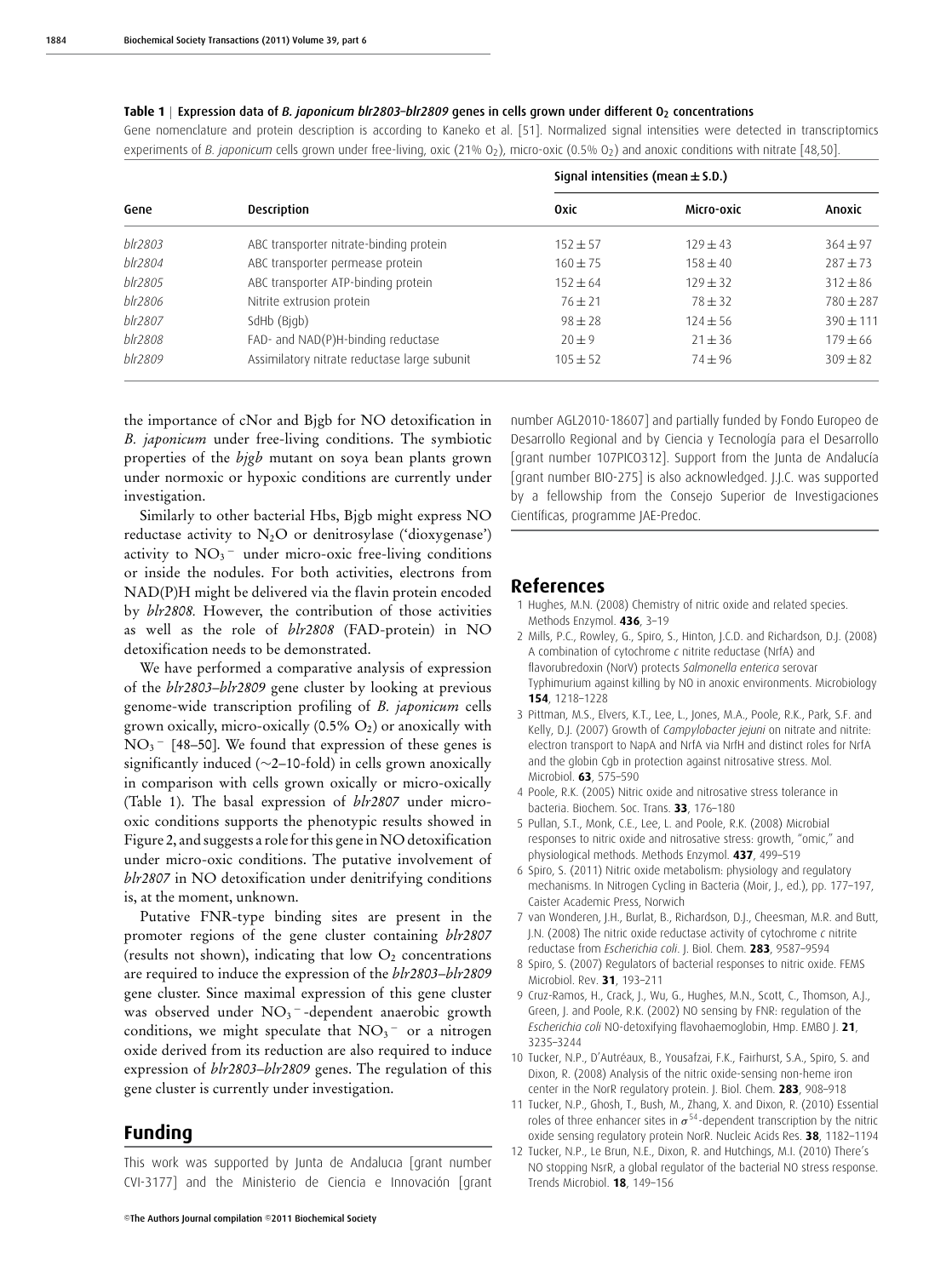#### <span id="page-4-9"></span>Table 1 | Expression data of *B. japonicum blr2803-blr2809* genes in cells grown under different O<sub>2</sub> concentrations

Gene nomenclature and protein description is according to Kaneko et al. [\[51\]](#page-5-34). Normalized signal intensities were detected in transcriptomics experiments of *B. japonicum* cells grown under free-living, oxic (21% O<sub>2</sub>), micro-oxic (0.5% O<sub>2</sub>) and anoxic conditions with nitrate [\[48](#page-5-35)[,50\]](#page-5-36)

| Gene    | <b>Description</b>                           | Signal intensities (mean $\pm$ S.D.) |             |              |
|---------|----------------------------------------------|--------------------------------------|-------------|--------------|
|         |                                              | 0xic                                 | Micro-oxic  | Anoxic       |
| blr2803 | ABC transporter nitrate-binding protein      | $152 + 57$                           | $129 + 43$  | $364 + 97$   |
| blr2804 | ABC transporter permease protein             | $160 + 75$                           | $158 + 40$  | $787 + 73$   |
| blr2805 | ABC transporter ATP-binding protein          | $152 + 64$                           | $129 + 32$  | $312 \pm 86$ |
| blr2806 | Nitrite extrusion protein                    | $76 + 21$                            | $78 + 32$   | $780 + 287$  |
| blr2807 | SdHb (Bjgb)                                  | $98 + 28$                            | $124 + 56$  | $390 + 111$  |
| blr2808 | FAD- and NAD(P)H-binding reductase           | $70 + 9$                             | $21 \pm 36$ | $179 \pm 66$ |
| blr2809 | Assimilatory nitrate reductase large subunit | $105 + 52$                           | $74 + 96$   | $309 + 82$   |

the importance of cNor and Bjgb for NO detoxification in *B. japonicum* under free-living conditions. The symbiotic properties of the *bjgb* mutant on soya bean plants grown under normoxic or hypoxic conditions are currently under investigation.

Similarly to other bacterial Hbs, Bjgb might express NO reductase activity to  $N_2O$  or denitrosylase ('dioxygenase') activity to  $NO<sub>3</sub>$ <sup>-</sup> under micro-oxic free-living conditions or inside the nodules. For both activities, electrons from NAD(P)H might be delivered via the flavin protein encoded by *blr2808.* However, the contribution of those activities as well as the role of *blr2808* (FAD-protein) in NO detoxification needs to be demonstrated.

We have performed a comparative analysis of expression of the *blr2803*–*blr2809* gene cluster by looking at previous genome-wide transcription profiling of *B. japonicum* cells grown oxically, micro-oxically  $(0.5\% \text{ O}_2)$  or anoxically with  $NO<sub>3</sub>$  [\[48](#page-5-35)[–50\]](#page-5-36). We found that expression of these genes is significantly induced (∼2–10-fold) in cells grown anoxically in comparison with cells grown oxically or micro-oxically [\(Table 1\)](#page-4-9). The basal expression of *blr2807* under microoxic conditions supports the phenotypic results showed in [Figure 2,](#page-3-0) and suggests a role for this gene in NO detoxification under micro-oxic conditions. The putative involvement of *blr2807* in NO detoxification under denitrifying conditions is, at the moment, unknown.

Putative FNR-type binding sites are present in the promoter regions of the gene cluster containing *blr2807* (results not shown), indicating that low  $O_2$  concentrations are required to induce the expression of the *blr2803*–*blr2809* gene cluster. Since maximal expression of this gene cluster was observed under  $NO<sub>3</sub>$ <sup>-</sup>-dependent anaerobic growth conditions, we might speculate that  $NO<sub>3</sub>$ <sup>-</sup> or a nitrogen oxide derived from its reduction are also required to induce expression of *blr2803*–*blr2809* genes. The regulation of this gene cluster is currently under investigation.

## **Funding**

This work was supported by Junta de Andalucıa [grant number CVI-3177] and the Ministerio de Ciencia e Innovación [grant

©The Authors Journal compilation ©2011 Biochemical Society

number AGL2010-18607] and partially funded by Fondo Europeo de Desarrollo Regional and by Ciencia y Tecnología para el Desarrollo [grant number 107PICO312]. Support from the Junta de Andalucía [grant number BIO-275] is also acknowledged. J.J.C. was supported by a fellowship from the Consejo Superior de Investigaciones Científicas, programme JAE-Predoc.

#### **References**

- <span id="page-4-0"></span>1 Hughes, M.N. (2008) Chemistry of nitric oxide and related species. Methods Enzymol. **436**, 3–19
- <span id="page-4-1"></span>2 Mills, P.C., Rowley, G., Spiro, S., Hinton, J.C.D. and Richardson, D.J. (2008) A combination of cytochrome *c* nitrite reductase (NrfA) and flavorubredoxin (NorV) protects *Salmonella enterica* serovar Typhimurium against killing by NO in anoxic environments. Microbiology **154**, 1218–1228
- 3 Pittman, M.S., Elvers, K.T., Lee, L., Jones, M.A., Poole, R.K., Park, S.F. and Kelly, D.J. (2007) Growth of *Campylobacter jejuni* on nitrate and nitrite: electron transport to NapA and NrfA via NrfH and distinct roles for NrfA and the globin Cgb in protection against nitrosative stress. Mol. Microbiol. **63**, 575–590
- 4 Poole, R.K. (2005) Nitric oxide and nitrosative stress tolerance in bacteria. Biochem. Soc. Trans. **33**, 176–180
- 5 Pullan, S.T., Monk, C.E., Lee, L. and Poole, R.K. (2008) Microbial responses to nitric oxide and nitrosative stress: growth, "omic," and physiological methods. Methods Enzymol. **437**, 499–519
- <span id="page-4-3"></span>6 Spiro, S. (2011) Nitric oxide metabolism: physiology and regulatory mechanisms. In Nitrogen Cycling in Bacteria (Moir, J., ed.), pp. 177–197, Caister Academic Press, Norwich
- <span id="page-4-2"></span>7 van Wonderen, J.H., Burlat, B., Richardson, D.J., Cheesman, M.R. and Butt, J.N. (2008) The nitric oxide reductase activity of cytochrome *c* nitrite reductase from *Escherichia coli*. J. Biol. Chem. **283**, 9587–9594
- <span id="page-4-4"></span>8 Spiro, S. (2007) Regulators of bacterial responses to nitric oxide. FEMS Microbiol. Rev. **31**, 193–211
- <span id="page-4-5"></span>9 Cruz-Ramos, H., Crack, J., Wu, G., Hughes, M.N., Scott, C., Thomson, A.J., Green, J. and Poole, R.K. (2002) NO sensing by FNR: regulation of the *Escherichia coli* NO-detoxifying flavohaemoglobin, Hmp. EMBO J. **21**, 3235–3244
- <span id="page-4-6"></span>10 Tucker, N.P., D'Autréaux, B., Yousafzai, F.K., Fairhurst, S.A., Spiro, S. and Dixon, R. (2008) Analysis of the nitric oxide-sensing non-heme iron center in the NorR regulatory protein. J. Biol. Chem. **283**, 908–918
- <span id="page-4-7"></span>11 Tucker, N.P., Ghosh, T., Bush, M., Zhang, X. and Dixon, R. (2010) Essential roles of three enhancer sites in  $\sigma^{54}$ -dependent transcription by the nitric oxide sensing regulatory protein NorR. Nucleic Acids Res. **38**, 1182–1194
- <span id="page-4-8"></span>12 Tucker, N.P., Le Brun, N.E., Dixon, R. and Hutchings, M.I. (2010) There's NO stopping NsrR, a global regulator of the bacterial NO stress response. Trends Microbiol. **18**, 149–156